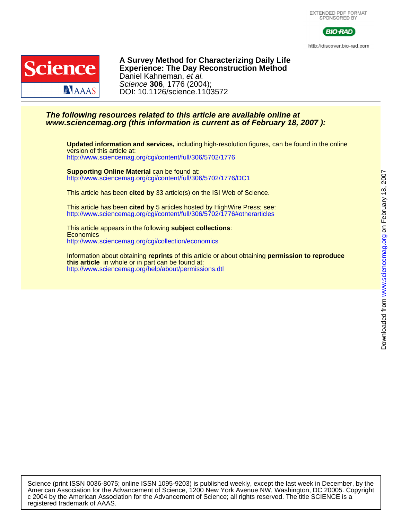

http://discover.bio-rad.com



DOI: 10.1126/science.1103572 Science **306**, 1776 (2004); Daniel Kahneman, et al. **Experience: The Day Reconstruction Method A Survey Method for Characterizing Daily Life**

## **www.sciencemag.org (this information is current as of February 18, 2007 ): The following resources related to this article are available online at**

<http://www.sciencemag.org/cgi/content/full/306/5702/1776> version of this article at: **Updated information and services,** including high-resolution figures, can be found in the online

<http://www.sciencemag.org/cgi/content/full/306/5702/1776/DC1> **Supporting Online Material** can be found at:

This article has been **cited by** 33 article(s) on the ISI Web of Science.

<http://www.sciencemag.org/cgi/content/full/306/5702/1776#otherarticles> This article has been **cited by** 5 articles hosted by HighWire Press; see:

<http://www.sciencemag.org/cgi/collection/economics> **Economics** This article appears in the following **subject collections**:

[http://www.sciencemag.org/help/about/permissions.dtl](http://www.sciencemag.org/misc/reprints.shtml) **this article** in whole or in part can be found at: Information about obtaining **reprints** of this article or about obtaining **permission to reproduce**

registered trademark of AAAS. c 2004 by the American Association for the Advancement of Science; all rights reserved. The title SCIENCE is a American Association for the Advancement of Science, 1200 New York Avenue NW, Washington, DC 20005. Copyright Science (print ISSN 0036-8075; online ISSN 1095-9203) is published weekly, except the last week in December, by the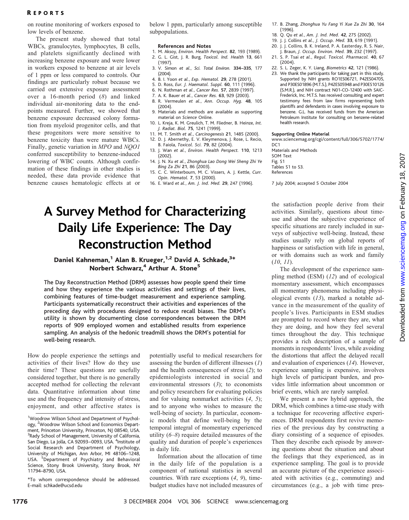### R EPORTS

on routine monitoring of workers exposed to low levels of benzene.

The present study showed that total WBCs, granulocytes, lymphocytes, B cells, and platelets significantly declined with increasing benzene exposure and were lower in workers exposed to benzene at air levels of 1 ppm or less compared to controls. Our findings are particularly robust because we carried out extensive exposure assessment over a 16-month period (8) and linked individual air-monitoring data to the endpoints measured. Further, we showed that benzene exposure decreased colony formation from myeloid progenitor cells, and that these progenitors were more sensitive to benzene toxicity than were mature WBCs. Finally, genetic variation in MPO and NQO1 conferred susceptibility to benzene-induced lowering of WBC counts. Although confirmation of these findings in other studies is needed, these data provide evidence that benzene causes hematologic effects at or below 1 ppm, particularly among susceptible subpopulations.

#### References and Notes

- 1. M. Aksoy, Environ. Health Perspect. 82, 193 (1989). 2. G. L. Gist, J. R. Burg, Toxicol. Ind. Health 13, 661
- (1997). 3. V. Simon et al., Sci. Total Environ. 334–335, 177 (2004).
- 4. B. I. Yoon et al., Exp. Hematol. 29, 278 (2001).
- 5. D. Ross, Eur. J. Haematol. Suppl. 60, 111 (1996).
- 6. N. Rothman et al., Cancer Res. 57, 2839 (1997).
- 7. A. K. Bauer et al., Cancer Res. 63, 929 (2003).
- 8. R. Vermeulen et al., Ann. Occup. Hyg. 48, 105 (2004).
- 9. Materials and methods are available as supporting material on Science Online.
- 10. L. Kreja, K. M. Greulich, T. M. Fliedner, B. Heinze, Int. J. Radiat. Biol. 75, 1241 (1999).
- 11. M. T. Smith et al., Carcinogenesis 21, 1485 (2000). 12. D. J. Abernethy, E. V. Kleymenova, J. Rose, L. Recio, B. Faiola, Toxicol. Sci. 79, 82 (2004).
- 13. J. Wan et al., Environ. Health Perspect. 110, 1213 (2002).
- 14. J. N. Xu et al., Zhonghua Lao Dong Wei Sheng Zhi Ye Bing Za Zhi 21, 86 (2003).
- 15. C. C. Winterbourn, M. C. Vissers, A. J. Kettle, Curr. Opin. Hematol. 7, 53 (2000).
- 16. E. Ward et al., Am. J. Ind. Med. 29, 247 (1996).

# A Survey Method for Characterizing Daily Life Experience: The Day Reconstruction Method

## Daniel Kahneman,<sup>1</sup> Alan B. Krueger,<sup>1,2</sup> David A. Schkade,<sup>3\*</sup> Norbert Schwarz,<sup>4</sup> Arthur A. Stone<sup>5</sup>

The Day Reconstruction Method (DRM) assesses how people spend their time and how they experience the various activities and settings of their lives, combining features of time-budget measurement and experience sampling. Participants systematically reconstruct their activities and experiences of the preceding day with procedures designed to reduce recall biases. The DRM's utility is shown by documenting close correspondences between the DRM reports of 909 employed women and established results from experience sampling. An analysis of the hedonic treadmill shows the DRM's potential for well-being research.

How do people experience the settings and activities of their lives? How do they use their time? These questions are usefully considered together, but there is no generally accepted method for collecting the relevant data. Quantitative information about time use and the frequency and intensity of stress, enjoyment, and other affective states is

\*To whom correspondence should be addressed. E-mail: schkade@ucsd.edu

potentially useful to medical researchers for assessing the burden of different illnesses (1) and the health consequences of stress (2); to epidemiologists interested in social and environmental stressors (3); to economists and policy researchers for evaluating policies and for valuing nonmarket activities (4, 5); and to anyone who wishes to measure the well-being of society. In particular, economic models that define well-being by the temporal integral of momentary experienced utility  $(6-8)$  require detailed measures of the quality and duration of people's experiences in daily life.

Information about the allocation of time in the daily life of the population is a component of national statistics in several countries. With rare exceptions (4, 9), timebudget studies have not included measures of

- 17. B. Zhang, Zhonghua Yu Fang Yi Xue Za Zhi 30, 164 (1996).
- 18. Q. Qu et al., Am. J. Ind. Med. 42, 275 (2002).
- 19. J. J. Collins et al., J. Occup. Med. 33, 619 (1991).
- 20. J. J. Collins, B. K. Ireland, P. A. Easterday, R. S. Nair, J. Braun, J. Occup. Environ. Med. 39, 232 (1997).
- 21. S. P. Tsai et al., Regul. Toxicol. Pharmacol. 40, 67 (2004).
- 22. S. L. Zeger, K. Y. Liang, Biometrics 42, 121 (1986).
- 23. We thank the participants for taking part in this study. Supported by NIH grants RO1ES06721, P42ES04705, and P30ES01896 (M.T.S.), P42ES05948 and P30ES10126 (S.M.R.), and NIH contract N01-CO-12400 with SAIC-Frederick, Inc. M.T.S. has received consulting and expert testimony fees from law firms representing both plantiffs and defendants in cases involving exposure to benzene. G.L. has received funds from the American Petroleum Institute for consulting on benzene-related health research.

#### Supporting Online Material

www.sciencemag.org/cgi/content/full/306/5702/1774/ D<sub>C</sub>1

Materials and Methods SOM Text Fig. S1 Tables S1 to S3. References

7 July 2004; accepted 5 October 2004

the satisfaction people derive from their activities. Similarly, questions about timeuse and about the subjective experience of specific situations are rarely included in surveys of subjective well-being. Instead, these studies usually rely on global reports of happiness or satisfaction with life in general, or with domains such as work and family (10, 11).

The development of the experience sampling method (ESM) (12) and of ecological momentary assessment, which encompasses all momentary phenomena including physiological events (13), marked a notable advance in the measurement of the quality of people's lives. Participants in ESM studies are prompted to record where they are, what they are doing, and how they feel several times throughout the day. This technique provides a rich description of a sample of moments in respondents' lives, while avoiding the distortions that affect the delayed recall and evaluation of experiences (14). However, experience sampling is expensive, involves high levels of participant burden, and provides little information about uncommon or brief events, which are rarely sampled.

We present a new hybrid approach, the DRM, which combines a time-use study with a technique for recovering affective experiences. DRM respondents first revive memories of the previous day by constructing a diary consisting of a sequence of episodes. Then they describe each episode by answering questions about the situation and about the feelings that they experienced, as in experience sampling. The goal is to provide an accurate picture of the experience associated with activities (e.g., commuting) and circumstances (e.g., a job with time pres-

<sup>&</sup>lt;sup>1</sup>Woodrow Wilson School and Department of Psychology, <sup>2</sup>Woodrow Wilson School and Economics Department, Princeton University, Princeton, NJ 08540, USA. <sup>3</sup>Rady School of Management, University of California, San Diego, La Jolla, CA 92093-0093, USA. <sup>4</sup>Institute of Social Research and Department of Psychology, University of Michigan, Ann Arbor, MI 48106–1248, USA. <sup>5</sup>Department of Psychiatry and Behavioral Science, Stony Brook University, Stony Brook, NY 11794–8790, USA.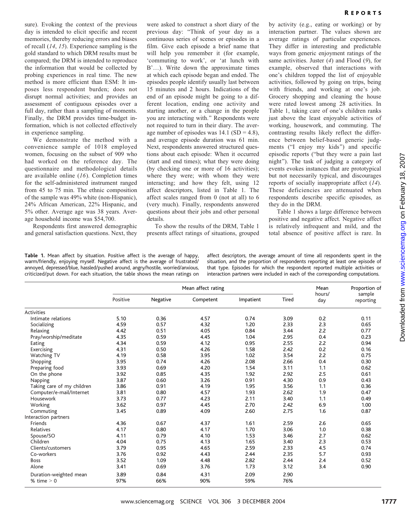sure). Evoking the context of the previous day is intended to elicit specific and recent memories, thereby reducing errors and biases of recall (14, 15). Experience sampling is the gold standard to which DRM results must be compared; the DRM is intended to reproduce the information that would be collected by probing experiences in real time. The new method is more efficient than ESM: It imposes less respondent burden; does not disrupt normal activities; and provides an assessment of contiguous episodes over a full day, rather than a sampling of moments. Finally, the DRM provides time-budget information, which is not collected effectively in experience sampling.

We demonstrate the method with a convenience sample of 1018 employed women, focusing on the subset of 909 who had worked on the reference day. The questionnaire and methodological details are available online (16). Completion times for the self-administered instrument ranged from 45 to 75 min. The ethnic composition of the sample was 49% white (non-Hispanic), 24% African American, 22% Hispanic, and 5% other. Average age was 38 years. Average household income was \$54,700.

Respondents first answered demographic and general satisfaction questions. Next, they were asked to construct a short diary of the previous day: "Think of your day as a continuous series of scenes or episodes in a film. Give each episode a brief name that will help you remember it (for example, 'commuting to work', or 'at lunch with B'...). Write down the approximate times at which each episode began and ended. The episodes people identify usually last between 15 minutes and 2 hours. Indications of the end of an episode might be going to a different location, ending one activity and starting another, or a change in the people you are interacting with." Respondents were not required to turn in their diary. The average number of episodes was  $14.1$  (SD = 4.8), and average episode duration was 61 min. Next, respondents answered structured questions about each episode: When it occurred (start and end times); what they were doing (by checking one or more of 16 activities); where they were; with whom they were interacting; and how they felt, using 12 affect descriptors, listed in Table 1. The affect scales ranged from 0 (not at all) to 6 (very much). Finally, respondents answered questions about their jobs and other personal details.

To show the results of the DRM, Table 1 presents affect ratings of situations, grouped by activity (e.g., eating or working) or by interaction partner. The values shown are average ratings of particular experiences. They differ in interesting and predictable ways from generic enjoyment ratings of the same activities. Juster (4) and Flood (9), for example, observed that interactions with one's children topped the list of enjoyable activities, followed by going on trips, being with friends, and working at one's job. Grocery shopping and cleaning the house were rated lowest among 28 activities. In Table 1, taking care of one's children ranks just above the least enjoyable activities of working, housework, and commuting. The contrasting results likely reflect the difference between belief-based generic judgments ("I enjoy my kids") and specific episodic reports ("but they were a pain last night"). The task of judging a category of events evokes instances that are prototypical but not necessarily typical, and discourages reports of socially inappropriate affect (14). These deficiencies are attenuated when respondents describe specific episodes, as they do in the DRM.

Table 1 shows a large difference between positive and negative affect. Negative affect is relatively infrequent and mild, and the total absence of positive affect is rare. In

Table 1. Mean affect by situation. Positive affect is the average of happy, warm/friendly, enjoying myself. Negative affect is the average of frustrated/ annoyed, depressed/blue, hassled/pushed around, angry/hostile, worried/anxious, criticized/put down. For each situation, the table shows the mean ratings on affect descriptors, the average amount of time all respondents spent in the situation, and the proportion of respondents reporting at least one episode of that type. Episodes for which the respondent reported multiple activities or interaction partners were included in each of the corresponding computations.

|                            | Mean affect rating |          |           |           |       | Mean          | Proportion of       |
|----------------------------|--------------------|----------|-----------|-----------|-------|---------------|---------------------|
|                            | Positive           | Negative | Competent | Impatient | Tired | hours/<br>day | sample<br>reporting |
| <b>Activities</b>          |                    |          |           |           |       |               |                     |
| Intimate relations         | 5.10               | 0.36     | 4.57      | 0.74      | 3.09  | 0.2           | 0.11                |
| Socializing                | 4.59               | 0.57     | 4.32      | 1.20      | 2.33  | 2.3           | 0.65                |
| Relaxing                   | 4.42               | 0.51     | 4.05      | 0.84      | 3.44  | 2.2           | 0.77                |
| Pray/worship/meditate      | 4.35               | 0.59     | 4.45      | 1.04      | 2.95  | 0.4           | 0.23                |
| Eating                     | 4.34               | 0.59     | 4.12      | 0.95      | 2.55  | 2.2           | 0.94                |
| Exercising                 | 4.31               | 0.50     | 4.26      | 1.58      | 2.42  | 0.2           | 0.16                |
| Watching TV                | 4.19               | 0.58     | 3.95      | 1.02      | 3.54  | 2.2           | 0.75                |
| Shopping                   | 3.95               | 0.74     | 4.26      | 2.08      | 2.66  | 0.4           | 0.30                |
| Preparing food             | 3.93               | 0.69     | 4.20      | 1.54      | 3.11  | 1.1           | 0.62                |
| On the phone               | 3.92               | 0.85     | 4.35      | 1.92      | 2.92  | 2.5           | 0.61                |
| Napping                    | 3.87               | 0.60     | 3.26      | 0.91      | 4.30  | 0.9           | 0.43                |
| Taking care of my children | 3.86               | 0.91     | 4.19      | 1.95      | 3.56  | 1.1           | 0.36                |
| Computer/e-mail/Internet   | 3.81               | 0.80     | 4.57      | 1.93      | 2.62  | 1.9           | 0.47                |
| Housework                  | 3.73               | 0.77     | 4.23      | 2.11      | 3.40  | 1.1           | 0.49                |
| Working                    | 3.62               | 0.97     | 4.45      | 2.70      | 2.42  | 6.9           | 1.00                |
| Commuting                  | 3.45               | 0.89     | 4.09      | 2.60      | 2.75  | 1.6           | 0.87                |
| Interaction partners       |                    |          |           |           |       |               |                     |
| Friends                    | 4.36               | 0.67     | 4.37      | 1.61      | 2.59  | 2.6           | 0.65                |
| Relatives                  | 4.17               | 0.80     | 4.17      | 1.70      | 3.06  | 1.0           | 0.38                |
| Spouse/SO                  | 4.11               | 0.79     | 4.10      | 1.53      | 3.46  | 2.7           | 0.62                |
| Children                   | 4.04               | 0.75     | 4.13      | 1.65      | 3.40  | 2.3           | 0.53                |
| Clients/customers          | 3.79               | 0.95     | 4.65      | 2.59      | 2.33  | 4.5           | 0.74                |
| Co-workers                 | 3.76               | 0.92     | 4.43      | 2.44      | 2.35  | 5.7           | 0.93                |
| <b>Boss</b>                | 3.52               | 1.09     | 4.48      | 2.82      | 2.44  | 2.4           | 0.52                |
| Alone                      | 3.41               | 0.69     | 3.76      | 1.73      | 3.12  | 3.4           | 0.90                |
| Duration-weighted mean     | 3.89               | 0.84     | 4.31      | 2.09      | 2.90  |               |                     |
| % time $> 0$               | 97%                | 66%      | 90%       | 59%       | 76%   |               |                     |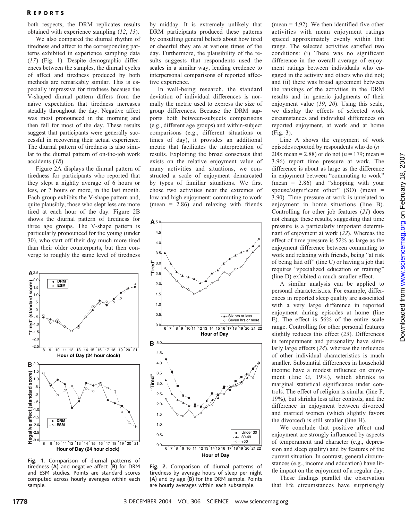### **REPORTS**

both respects, the DRM replicates results obtained with experience sampling (12, 13).

We also compared the diurnal rhythm of tiredness and affect to the corresponding patterns exhibited in experience sampling data (17) (Fig. 1). Despite demographic differences between the samples, the diurnal cycles of affect and tiredness produced by both methods are remarkably similar. This is especially impressive for tiredness because the V-shaped diurnal pattern differs from the naïve expectation that tiredness increases steadily throughout the day. Negative affect was most pronounced in the morning and then fell for most of the day. These results suggest that participants were generally successful in recovering their actual experience. The diurnal pattern of tiredness is also similar to the diurnal pattern of on-the-job work accidents (18).

Figure 2A displays the diurnal pattern of tiredness for participants who reported that they slept a nightly average of 6 hours or less, or 7 hours or more, in the last month. Each group exhibits the V-shape pattern and, quite plausibly, those who slept less are more tired at each hour of the day. Figure 2B shows the diurnal pattern of tiredness for three age groups. The V-shape pattern is particularly pronounced for the young (under 30), who start off their day much more tired than their older counterparts, but then converge to roughly the same level of tiredness



Fig. 1. Comparison of diurnal patterns of tiredness (A) and negative affect (B) for DRM and ESM studies. Points are standard scores computed across hourly averages within each sample.

by midday. It is extremely unlikely that DRM participants produced these patterns by consulting general beliefs about how tired or cheerful they are at various times of the day. Furthermore, the plausibility of the results suggests that respondents used the scales in a similar way, lending credence to interpersonal comparisons of reported affective experience.

In well-being research, the standard deviation of individual differences is normally the metric used to express the size of group differences. Because the DRM supports both between-subjects comparisons (e.g., different age groups) and within-subject comparisons (e.g., different situations or times of day), it provides an additional metric that facilitates the interpretation of results. Exploiting the broad consensus that exists on the relative enjoyment value of many activities and situations, we constructed a scale of enjoyment demarcated by types of familiar situations. We first chose two activities near the extremes of low and high enjoyment: commuting to work  $(mean = 2.86)$  and relaxing with friends



Fig. 2. Comparison of diurnal patterns of tiredness by average hours of sleep per night (A) and by age (B) for the DRM sample. Points are hourly averages within each subsample.

(mean  $= 4.92$ ). We then identified five other activities with mean enjoyment ratings spaced approximately evenly within that range. The selected activities satisfied two conditions: (i) There was no significant difference in the overall average of enjoyment ratings between individuals who engaged in the activity and others who did not; and (ii) there was broad agreement between the rankings of the activities in the DRM results and in generic judgments of their enjoyment value (19, 20). Using this scale, we display the effects of selected work circumstances and individual differences on reported enjoyment, at work and at home (Fig. 3).

Line A shows the enjoyment of work episodes reported by respondents who do  $(n =$ 200; mean = 2.88) or do not ( $n = 179$ ; mean = 3.96) report time pressure at work. The difference is about as large as the difference in enjoyment between "commuting to work" (mean  $= 2.86$ ) and "shopping with your spouse/significant other" (SO) (mean  $=$ 3.90). Time pressure at work is unrelated to enjoyment in home situations (line B). Controlling for other job features (21) does not change these results, suggesting that time pressure is a particularly important determinant of enjoyment at work (22). Whereas the effect of time pressure is 52% as large as the enjoyment difference between commuting to work and relaxing with friends, being "at risk of being laid off" (line C) or having a job that requires "specialized education or training" (line D) exhibited a much smaller effect.

A similar analysis can be applied to personal characteristics. For example, differences in reported sleep quality are associated with a very large difference in reported enjoyment during episodes at home (line E). The effect is 56% of the entire scale range. Controlling for other personal features slightly reduces this effect (23). Differences in temperament and personality have similarly large effects (24), whereas the influence of other individual characteristics is much smaller. Substantial differences in household income have a modest influence on enjoyment (line G, 19%), which shrinks to marginal statistical significance under controls. The effect of religion is similar (line F, 19%), but shrinks less after controls, and the difference in enjoyment between divorced and married women (which slightly favors the divorced) is still smaller (line H).

We conclude that positive affect and enjoyment are strongly influenced by aspects of temperament and character (e.g., depression and sleep quality) and by features of the current situation. In contrast, general circumstances (e.g., income and education) have little impact on the enjoyment of a regular day.

These findings parallel the observation that life circumstances have surprisingly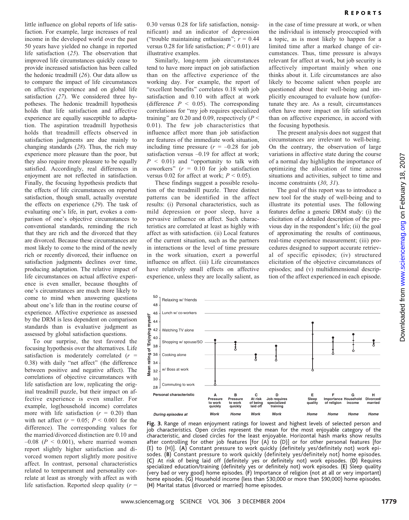little influence on global reports of life satisfaction. For example, large increases of real income in the developed world over the past 50 years have yielded no change in reported life satisfaction (25). The observation that improved life circumstances quickly cease to provide increased satisfaction has been called the hedonic treadmill (26). Our data allow us to compare the impact of life circumstances on affective experience and on global life satisfaction (27). We considered three hypotheses. The hedonic treadmill hypothesis holds that life satisfaction and affective experience are equally susceptible to adaptation. The aspiration treadmill hypothesis holds that treadmill effects observed in satisfaction judgments are due mainly to changing standards (28). Thus, the rich may experience more pleasure than the poor, but they also require more pleasure to be equally satisfied. Accordingly, real differences in enjoyment are not reflected in satisfaction. Finally, the focusing hypothesis predicts that the effects of life circumstances on reported satisfaction, though small, actually overstate the effects on experience (29). The task of evaluating one's life, in part, evokes a comparison of one's objective circumstances to conventional standards, reminding the rich that they are rich and the divorced that they are divorced. Because these circumstances are most likely to come to the mind of the newly rich or recently divorced, their influence on satisfaction judgments declines over time, producing adaptation. The relative impact of life circumstances on actual affective experience is even smaller, because thoughts of one's circumstances are much more likely to come to mind when answering questions about one's life than in the routine course of experience. Affective experience as assessed by the DRM is less dependent on comparison standards than is evaluative judgment as assessed by global satisfaction questions.

To our surprise, the test favored the focusing hypothesis over the alternatives. Life satisfaction is moderately correlated  $(r =$ 0.38) with daily "net affect" (the difference between positive and negative affect). The correlations of objective circumstances with life satisfaction are low, replicating the original treadmill puzzle, but their impact on affective experience is even smaller. For example, log(household income) correlates more with life satisfaction  $(r = 0.20)$  than with net affect  $(r = 0.05; P \le 0.001$  for the difference). The corresponding values for the married/divorced distinction are 0.10 and  $-0.08$  ( $P < 0.001$ ), where married women report slightly higher satisfaction and divorced women report slightly more positive affect. In contrast, personal characteristics related to temperament and personality correlate at least as strongly with affect as with life satisfaction. Reported sleep quality  $(r =$ 

0.30 versus 0.28 for life satisfaction, nonsignificant) and an indicator of depression ("trouble maintaining enthusiasm";  $r = 0.44$ versus 0.28 for life satisfaction;  $P < 0.01$ ) are illustrative examples.

Similarly, long-term job circumstances tend to have more impact on job satisfaction than on the affective experience of the working day. For example, the report of "excellent benefits" correlates 0.18 with job satisfaction and 0.10 with affect at work (difference  $P \leq 0.05$ ). The corresponding correlations for "my job requires specialized training" are 0.20 and 0.09, respectively ( $P \leq$ 0.01). The few job characteristics that influence affect more than job satisfaction are features of the immediate work situation, including time pressure  $(r = -0.28$  for job satisfaction versus  $-0.19$  for affect at work;  $P \leq 0.01$ ) and "opportunity to talk with coworkers"  $(r = 0.10$  for job satisfaction versus 0.02 for affect at work;  $P < 0.05$ ).

These findings suggest a possible resolution of the treadmill puzzle. Three distinct patterns can be identified in the affect results: (i) Personal characteristics, such as mild depression or poor sleep, have a pervasive influence on affect. Such characteristics are correlated at least as highly with affect as with satisfaction. (ii) Local features of the current situation, such as the partners in interactions or the level of time pressure in the work situation, exert a powerful influence on affect. (iii) Life circumstances have relatively small effects on affective experience, unless they are locally salient, as

in the case of time pressure at work, or when the individual is intensely preoccupied with a topic, as is most likely to happen for a limited time after a marked change of circumstances. Thus, time pressure is always relevant for affect at work, but job security is affectively important mainly when one thinks about it. Life circumstances are also likely to become salient when people are questioned about their well-being and implicitly encouraged to evaluate how (un)fortunate they are. As a result, circumstances often have more impact on life satisfaction than on affective experience, in accord with the focusing hypothesis.

The present analysis does not suggest that circumstances are irrelevant to well-being. On the contrary, the observation of large variations in affective state during the course of a normal day highlights the importance of optimizing the allocation of time across situations and activities, subject to time and income constraints (30, 31).

The goal of this report was to introduce a new tool for the study of well-being and to illustrate its potential uses. The following features define a generic DRM study: (i) the elicitation of a detailed description of the previous day in the respondent's life; (ii) the goal of approximating the results of continuous, real-time experience measurement; (iii) procedures designed to support accurate retrieval of specific episodes; (iv) structured elicitation of the objective circumstances of episodes; and (v) multidimensional description of the affect experienced in each episode.



Fig. 3. Range of mean enjoyment ratings for lowest and highest levels of selected person and job characteristics. Open circles represent the mean for the most enjoyable category of the characteristic, and closed circles for the least enjoyable. Horizontal hash marks show results after controlling for other job features [for (A) to (D)] or for other personal features [for (E) to (H)]. (A) Constant pressure to work quickly (definitely yes/definitely not) work episodes. (B) Constant pressure to work quickly (definitely yes/definitely not) home episodes. (C) At risk of being laid off (definitely yes or definitely not) work episodes. (D) Requires specialized education/training (definitely yes or definitely not) work episodes. (E) Sleep quality (very bad or very good) home episodes. (F) Importance of religion (not at all or very important) home episodes. (G) Household income (less than \$30,000 or more than \$90,000) home episodes. (H) Marital status (divorced or married) home episodes.